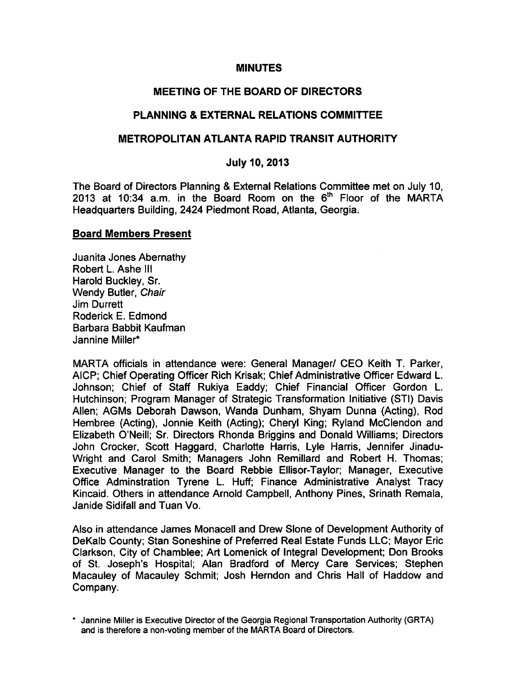### **MINUTES**

### MEETING OF THE BOARD OF DIRECTORS

### PLANNING & EXTERNAL RELATIONS COMMITTEE

### METROPOLITAN ATLANTA RAPID TRANSIT AUTHORITY

### July 10, 2013

The Board of Directors Planning & External Relations Committee met on July 10, 2013 at 10:34 a.m. in the Board Room on the 6<sup>th</sup> Floor of the MARTA Headquarters Building, 2424 Piedmont Road, Atlanta, Georgia.

#### Board Members Present

Juanita Jones Abernathy Robert L. Ashe III Harold Buckley, Sr. Wendy Butler, Chair Jim Durrett Roderick E. Edmond Barbara Babbit Kaufman Jannine Miller\*

MARTA officials in attendance were: General Manager/ CEO Keith T. Parker, AICP; Chief Operating Officer Rich Krisak; Chief Administrative Officer Edward L. Johnson; Chief of Staff Rukiya Eaddy; Chief Financial Officer Gordon L. Hutchinson; Program Manager of Strategic Transformation Initiative (STI) Davis Allen; AGMs Deborah Dawson, Wanda Dunham, Shyam Dunna (Acting), Rod Hembree (Acting), Jonnie Keith (Acting); Cheryl King; Ryland McClendon and Elizabeth O'Neill; Sr. Directors Rhonda Briggins and Donald Williams; Directors John Crocker, Scott Haggard, Charlotte Harris, Lyle Harris, Jennifer Jinadu-Wright and Carol Smith; Managers John Remillard and Robert H. Thomas; Executive Manager to the Board Rebbie Ellisor-Taylor; Manager, Executive Office Adminstration Tyrene L. Huff; Finance Administrative Analyst Tracy Kincaid. Others in attendance Arnold Campbell, Anthony Pines, Srinath Remala, Janide Sidifall and Tuan Vo.

Also in attendance James Monacell and Drew Slone of Development Authority of DeKalb County; Stan Soneshine of Preferred Real Estate Funds LLC; Mayor Eric Clarkson, City of Chamblee; Art Lomenick of Integral Development; Don Brooks of St. Joseph's Hospital; Alan Bradford of Mercy Care Services; Stephen Macauley of Macauley Schmit; Josh Herndon and Chris Hall of Haddow and Company.

Jannine Miller is Executive Director of the Georgia Regional Transportation Authority (GRTA) and is therefore a non-voting member of the MARTA Board of Directors.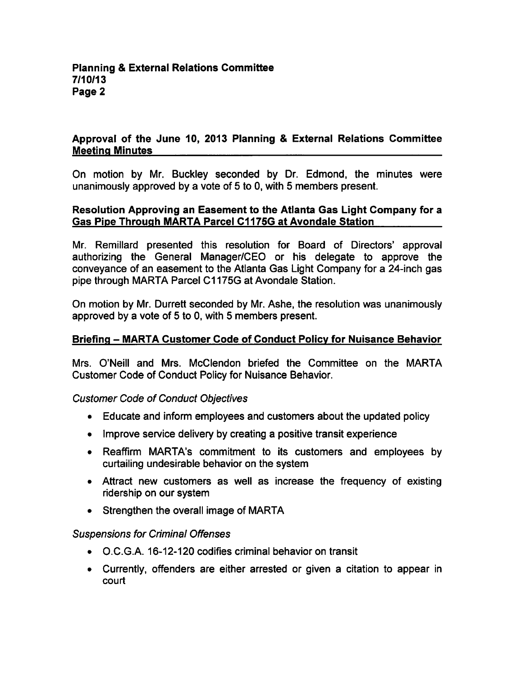# Approval of the June 10, 2013 Planning & External Relations Committee Meeting Minutes

On motion by Mr. Buckley seconded by Dr. Edmond, the minutes were unanimously approved by a vote of 5 to 0, with 5 members present.

# Resolution Approving an Easement to the Atlanta Gas Light Company for Gas Pipe Through MARTA Parcel C1175G at Avondale Station

Mr. Remillard presented this resolution for Board of Directors' approval authorizing the General Manager/CEO or his delegate to approve the conveyance of an easement to the Atlanta Gas Light Company for a 24-inch gas pipe through MARTA Parcel C1175G at Avondale Station.

On motion by Mr. Durrett seconded by Mr. Ashe, the resolution was unanimously approved by a vote of  $5$  to 0, with  $5$  members present.

# Briefing - MARTA Customer Code of Conduct Policy for Nuisance Behavior

Mrs. O'Neill and Mrs. McClendon briefed the Committee on the MARTA Customer Code of Conduct Policy for Nuisance Behavior.

### Customer Code of Conduct Objectives

- Educate and inform employees and customers about the updated policy
- Improve service delivery by creating a positive transit experience
- Reaffirm MARTA's commitment to its customers and employees by curtailing undesirable behavior on the system
- Attract new customers as well as increase the frequency of existing ridership on our system
- Strengthen the overall image of MARTA

### Suspensions for Criminal Offenses

- O.C.G.A. 16-12-120 codifies criminal behavior on transit
- Currently, offenders are either arrested or given a citation to appear in court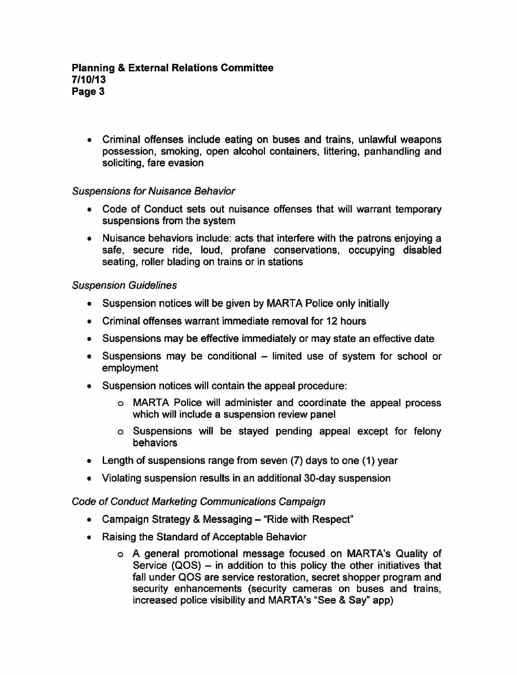Criminal offenses include eating on buses and trains, unlawful weapons possession, smoking, open alcohol containers, littering, panhandling and soliciting, fare evasion

# Suspensions for Nuisance Behavior

- Code of Conduct sets out nuisance offenses that will warrant temporary suspensions from the system
- Nuisance behaviors include: acts that interfere with the patrons enjoying a safe, secure ride, loud, profane conservations, occupying disabled seating, roller blading on trains or in stations

# Suspension Guidelines

- Suspension notices will be given by MARTA Police only initially
- Criminal offenses warrant immediate removal for 12 hours
- Suspensions may be effective immediately or may state an effective date
- $\bullet$  Suspensions may be conditional  $-$  limited use of system for school or employment
- Suspension notices will contain the appeal procedure:
	- MARTA Police will administer and coordinate the appeal process which will include a suspension review panel
	- Suspensions will be stayed pending appeal except for felony **behaviors**
- Length of suspensions range from seven (7) days to one (1) year
- Violating suspension results in an additional 30-day suspension

# Code of Conduct Marketing Communications Campaign

- Campaign Strategy & Messaging  $-$  "Ride with Respect"
- Raising the Standard of Acceptable Behavior
	- general promotional message focused on MARTA's Quality of Service (QOS)  $-$  in addition to this policy the other initiatives that fall under QOS are service restoration, secret shopper program and security enhancements (security cameras on buses and trains, increased police visibility and MARTA's "See & Say" app)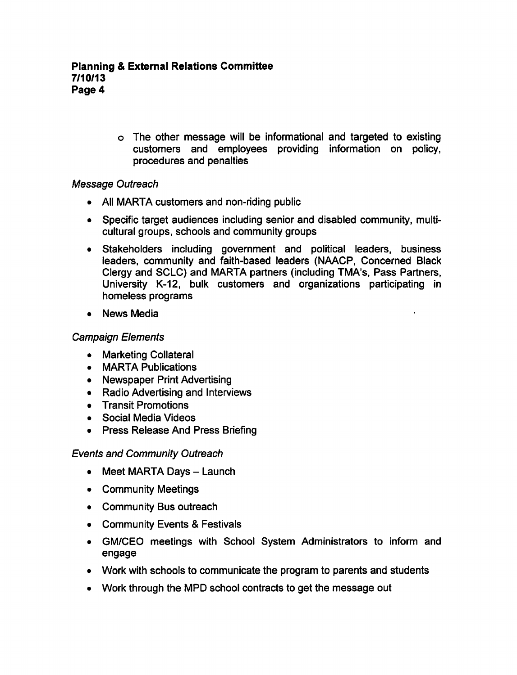The other message will be informational and targeted to existing customers and employees providing information on policy, procedures and penalties

# Message Outreach

- All MARTA customers and non-riding public
- Specific target audiences including senior and disabled community, multi cultural groups, schools and community groups
- Stakeholders including government and political leaders, business leaders, community and faith-based leaders (NAACP, Concerned Black Clergy and SCLC) and MARTA partners (including TMA's, Pass Partners, University K-12, bulk customers and organizations participating in homeless programs
- News Media

# Campaign Elements

- Marketing Collateral
- MARTA Publications
- Newspaper Print Advertising
- Radio Advertising and Interviews
- Transit Promotions
- Social Media Videos
- Press Release And Press Briefing

# Events and Community Outreach

- $\bullet$  Meet MARTA Days  $-$  Launch
- Community Meetings
- Community Bus outreach
- Community Events & Festivals
- GM/CEO meetings with School System Administrators to inform and engage
- Work with schools to communicate the program to parents and students
- Work through the MPD school contracts to get the message out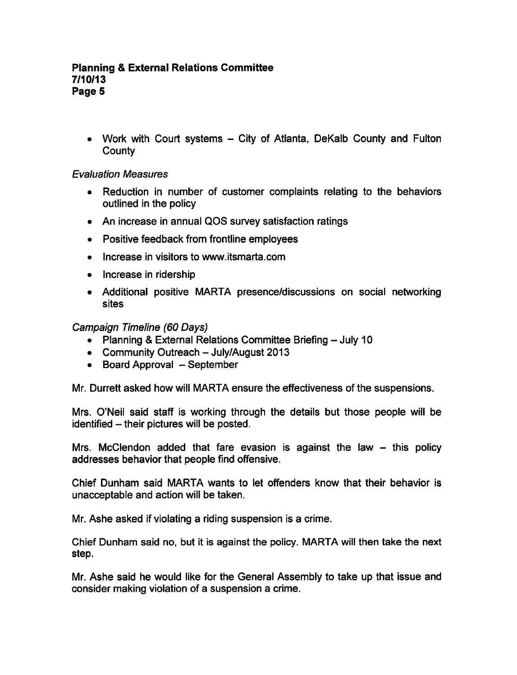### Planning External Relations Committee 7/10/13 Page 5

• Work with Court systems  $-$  City of Atlanta, DeKalb County and Fulton **County** 

# Evaluation Measures

- Reduction in number of customer complaints relating to the behaviors outlined in the policy
- An increase in annual QOS survey satisfaction ratings
- Positive feedback from frontline employees
- Increase in visitors to www.itsmarta.com
- Increase in ridership
- Additional positive MARTA presence/discussions on social networking sites

# Campaign Timeline (60 Days)

- Planning & External Relations Committee Briefing  $-$  July 10
- Community Outreach  $-$  July/August 2013
- $\bullet$  Board Approval  $-$  September

Mr. Durrett asked how will MARTA ensure the effectiveness of the suspensions.

Mrs. O'Neil said staff is working through the details but those people will be identified – their pictures will be posted.

Mrs. McClendon added that fare evasion is against the law  $-$  this policy addresses behavior that people find offensive.

Chief Dunham said MARTA wants to let offenders know that their behavior is unacceptable and action will be taken.

Mr. Ashe asked if violating a riding suspension is a crime.

Chief Dunham said no, but it is against the policy. MARTA will then take the next step.

Mr. Ashe said he would like for the General Assembly to take up that issue and consider making violation of a suspension a crime.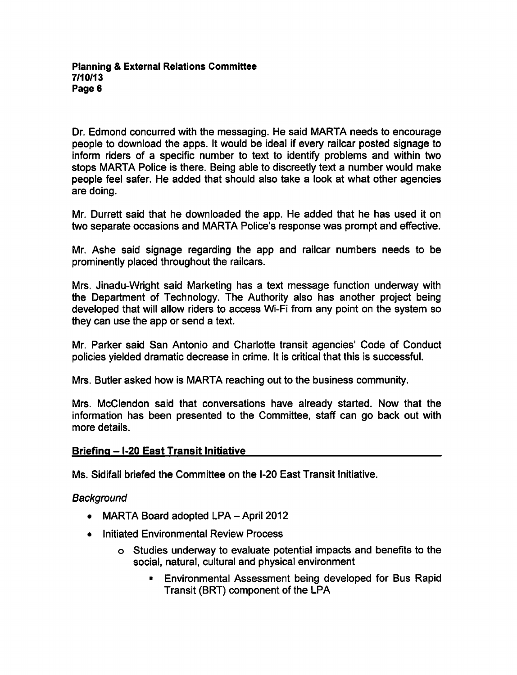Dr. Edmond concurred with the messaging. He said MARTA needs to encourage people to download the apps. It would be ideal if every railcar posted signage to inform riders of a specific number to text to identify problems and within two stops MARTA Police is there. Being able to discreetly text a number would make people feel safer. He added that should also take a look at what other agencies are doing.

Mr. Durrett said that he downloaded the app. He added that he has used it on two separate occasions and MARTA Police's response was prompt and effective.

Mr. Ashe said signage regarding the app and railcar numbers needs to be prominently placed throughout the railcars.

Mrs. Jinadu-Wright said Marketing has a text message function underway with the Department of Technology. The Authority also has another project being developed that will allow riders to access Wi-Fi from any point on the system so they can use the app or send a text.

Mr. Parker said San Antonio and Charlotte transit agencies' Code of Conduct policies yielded dramatic decrease in crime. It is critical that this is successful.

Mrs. Butler asked how is MARTA reaching out to the business community.

Mrs. McClendon said that conversations have already started. Now that the information has been presented to the Committee, staff can go back out with more details.

# Briefing -1-20 East Transit Initiative

Ms. Sidifall briefed the Committee on the I-20 East Transit Initiative.

# **Background**

- $\bullet$  MARTA Board adopted LPA April 2012
- Initiated Environmental Review Process
	- Studies underway to evaluate potential impacts and benefits to the social, natural, cultural and physical environment
		- Environmental Assessment being developed for Bus Rapid Transit (BRT) component of the LPA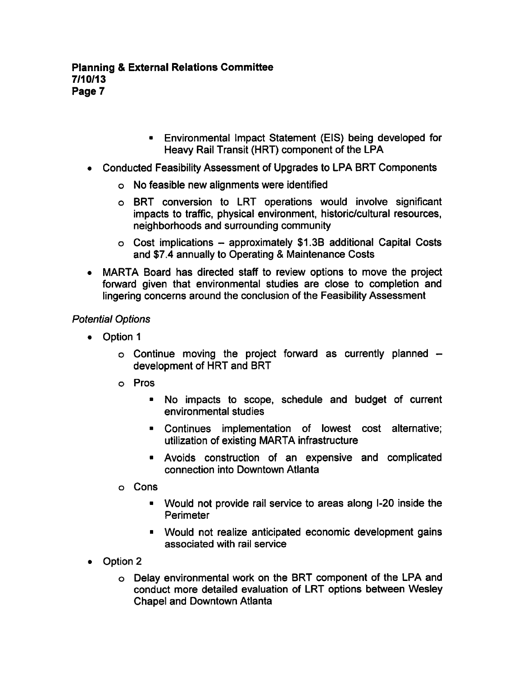- Environmental Impact Statement (EIS) being developed for Heavy Rail Transit (HRT) component of the LPA
- Conducted Feasibility Assessment of Upgrades to LPA BRT Components
	- No feasible new alignments were identified
	- BRT conversion to LRT operations would involve significant impacts to traffic, physical environment, historic/cultural resources, neighborhoods and surrounding community
	- $\circ$  Cost implications approximately \$1.3B additional Capital Costs and \$7.4 annually to Operating & Maintenance Costs
- MARTA Board has directed staff to review options to move the project forward given that environmental studies are close to completion and lingering concerns around the conclusion of the Feasibility Assessment

# Potential Options

- Option 1
	- $\circ$  Continue moving the project forward as currently planned  $$ development of HRT and BRT
	- Pros
		- No impacts to scope, schedule and budget of current environmental studies
		- Continues implementation of lowest cost alternative; utilization of existing MARTA infrastructure
		- Avoids construction of an expensive and complicated connection into Downtown Atlanta
	- Cons
		- Would not provide rail service to areas along I-20 inside the **Perimeter**
		- Would not realize anticipated economic development gains associated with rail service
- Option 2
	- Delay environmental work on the BRT component of the LPA and conduct more detailed evaluation of LRT options between Wesley Chapel and Downtown Atlanta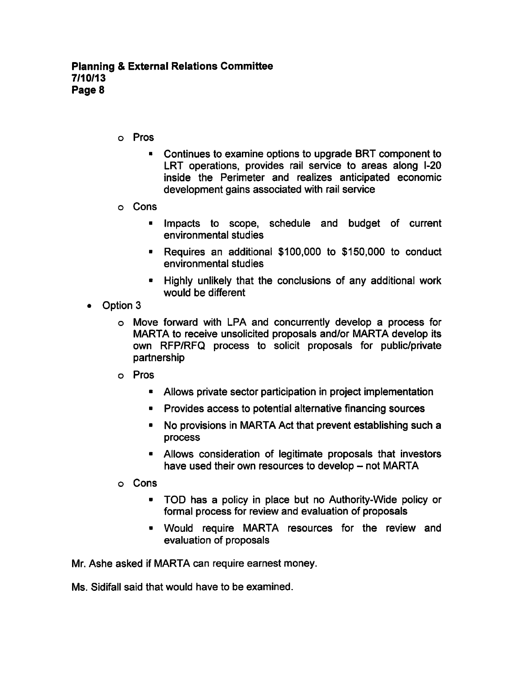- Pros
	- Continues to examine options to upgrade BRT component to LRT operations, provides rail service to areas along I-20 inside the Perimeter and realizes anticipated economic development gains associated with rail service
- Cons
	- Impacts to scope, schedule and budget of current environmental studies
	- Requires an additional \$100,000 to \$150,000 to conduct environmental studies
	- Highly unlikely that the conclusions of any additional work would be different
- Option 3
	- o Move forward with LPA and concurrently develop a process for MARTA to receive unsolicited proposals and/or MARTA develop its own RFP/RFQ process to solicit proposals for public/private partnership
	- Pros
		- Allows private sector participation in project implementation
		- Provides access to potential alternative financing sources  $\blacksquare$
		- No provisions in MARTA Act that prevent establishing such  $\blacksquare$ process
		- Allows consideration of legitimate proposals that investors have used their own resources to develop  $-$  not MARTA
	- Cons
		- TOD has a policy in place but no Authority-Wide policy or formal process for review and evaluation of proposals
		- Would require MARTA resources for the review and evaluation of proposals

Mr. Ashe asked if MARTA can require earnest money.

Ms. Sidifall said that would have to be examined.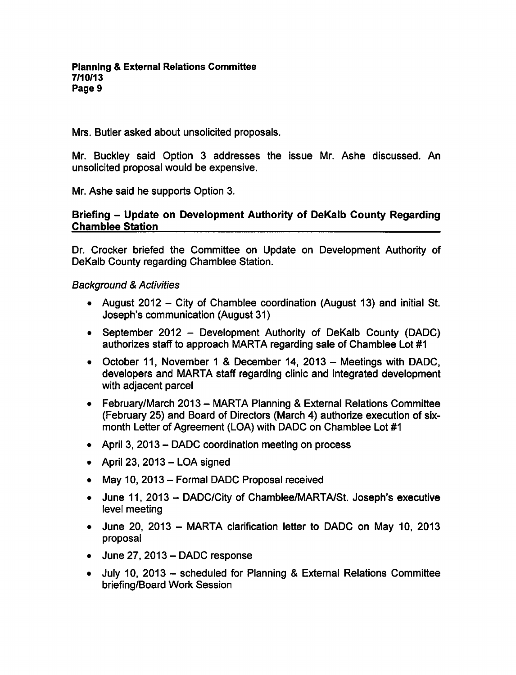Mrs. Butler asked about unsolicited proposals.

Mr. Buckley said Option 3 addresses the issue Mr. Ashe discussed. An unsolicited proposal would be expensive.

Mr. Ashe said he supports Option 3.

# Briefing – Update on Development Authority of DeKalb County Regarding Chamblee Station

Dr. Crocker briefed the Committee on Update on Development Authority of DeKalb County regarding Chamblee Station.

# **Background & Activities**

- August 2012 City of Chamblee coordination (August 13) and initial St. Joseph's communication (August 31)
- September 2012 Development Authority of DeKalb County (DADC) authorizes staff to approach MARTA regarding sale of Chamblee Lot #1
- October 11, November 1 & December 14, 2013 Meetings with DADC, developers and MARTA staff regarding clinic and integrated development with adjacent parcel
- $\bullet$  February/March 2013 MARTA Planning & External Relations Committee (February 25) and Board of Directors (March 4) authorize execution of sixmonth Letter of Agreement (LOA) with DADC on Chamblee Lot #1
- April 3, 2013 DADC coordination meeting on process
- $\bullet$  April 23, 2013 LOA signed
- May 10, 2013 Formal DADC Proposal received
- June 11, 2013 DADC/City of Chamblee/MARTA/St. Joseph's executive level meeting
- June 20, 2013 MARTA clarification letter to DADC on May 10, 2013 proposal
- $\bullet$  June 27, 2013 DADC response
- July 10, 2013 scheduled for Planning & External Relations Committee briefing/Board Work Session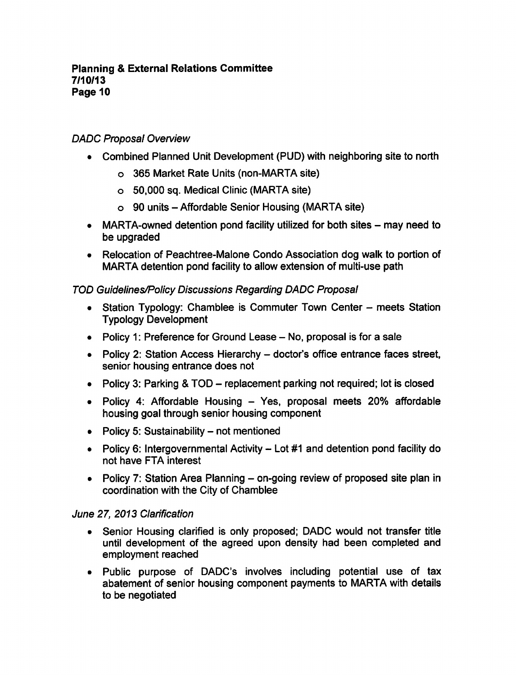# DADC Proposal Overview

- Combined Planned Unit Development (PUD) with neighboring site to north
	- 365 Market Rate Units (non-MARTA site)
	- 50,000 sq. Medical Clinic (MARTA site)
	- $\circ$  90 units Affordable Senior Housing (MARTA site)
- MARTA-owned detention pond facility utilized for both sites  $-$  may need to be upgraded
- Relocation of Peachtree-Malone Condo Association dog walk to portion of MARTA detention pond facility to allow extension of multi-use path

# TOD Guidelines/Policy Discussions Regarding DADC Proposal

- Station Typology: Chamblee is Commuter Town Center meets Station Typology Development
- Policy 1: Preference for Ground Lease  $-$  No, proposal is for a sale
- Policy 2: Station Access Hierarchy doctor's office entrance faces street, senior housing entrance does not
- Policy 3: Parking &  $TOD$  replacement parking not required; lot is closed
- Policy 4: Affordable Housing Yes, proposal meets 20% affordable housing goal through senior housing component
- $\bullet$  Policy 5: Sustainability not mentioned
- Policy 6: Intergovernmental Activity  $-$  Lot #1 and detention pond facility do not have FTA interest
- Policy 7: Station Area Planning  $-$  on-going review of proposed site plan in coordination with the City of Chamblee

# June 27, 2013 Clarification

- Senior Housing clarified is only proposed; DADC would not transfer title  $\bullet$ until development of the agreed upon density had been completed and employment reached
- Public purpose of DADC's involves including potential use of tax abatement of senior housing component payments to MARTA with details to be negotiated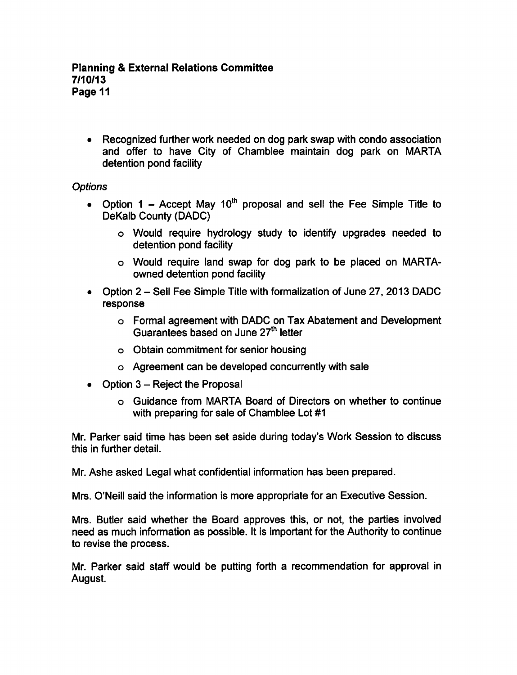Recognized further work needed on dog park swap with condo association and offer to have City of Chamblee maintain dog park on MARTA detention pond facility

# **Options**

- Option  $1 -$  Accept May  $10<sup>th</sup>$  proposal and sell the Fee Simple Title to DeKalb County (DADC)
	- Would require hydrology study to identify upgrades needed to detention pond facility
	- Would require land swap for dog park to be placed on MARTAowned detention pond facility
- Option 2 Sell Fee Simple Title with formalization of June 27, 2013 DADC response
	- Formal agreement with DADC on Tax Abatement and Development Guarantees based on June 27<sup>th</sup> letter
	- Obtain commitment for senior housing
	- Agreement can be developed concurrently with sale
- Option  $3$  Reject the Proposal
	- Guidance from MARTA Board of Directors on whether to continue with preparing for sale of Chamblee Lot #1

Mr. Parker said time has been set aside during today's Work Session to discuss this in further detail.

Mr. Ashe asked Legal what confidential information has been prepared.

Mrs. O'Neill said the information is more appropriate for an Executive Session.

Mrs. Butler said whether the Board approves this, or not, the parties involved need as much information as possible. It is important for the Authority to continue to revise the process.

Mr. Parker said staff would be putting forth a recommendation for approval in August.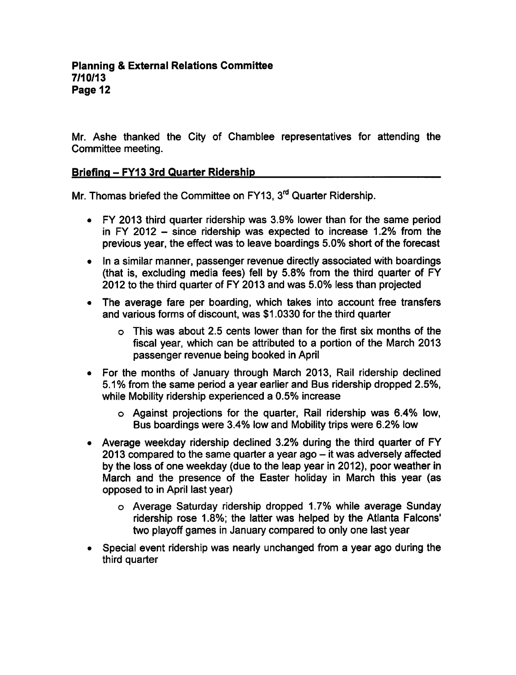Mr. Ashe thanked the City of Chamblee representatives for attending the Committee meeting.

# Briefing – FY13 3rd Quarter Ridership

Mr. Thomas briefed the Committee on FY13, 3<sup>rd</sup> Quarter Ridership.

- FY 2013 third quarter ridership was 3.9% lower than for the same period in FY 2012  $-$  since ridership was expected to increase 1.2% from the previous year, the effect was to leave boardings 5.0% short of the forecast
- $\bullet$  In a similar manner, passenger revenue directly associated with boardings (that is, excluding media fees) fell by 5.8% from the third quarter of FY 2012 to the third quarter of FY 2013 and was 5.0% less than projected
- The average fare per boarding, which takes into account free transfers and various forms of discount, was \$1.0330 for the third quarter
	- This was about 2.5 cents lower than for the first six months of the fiscal year, which can be attributed to a portion of the March 2013 passenger revenue being booked in April
- For the months of January through March 2013, Rail ridership declined 5.1% from the same period a year earlier and Bus ridership dropped 2.5%, while Mobility ridership experienced a 0.5% increase
	- Against projections for the quarter, Rail ridership was 6.4% low, Bus boardings were 3.4% low and Mobility trips were 6.2% low
- Average weekday ridership declined 3.2% during the third quarter of FY 2013 compared to the same quarter a year ago  $-$  it was adversely affected by the loss of one weekday (due to the leap year in 2012), poor weather in March and the presence of the Easter holiday in March this year (as opposed to in April last year)
	- Average Saturday ridership dropped 1.7% while average Sunday ridership rose 1.8%; the latter was helped by the Atlanta Falcons' two playoff games in January compared to only one last year
- Special event ridership was nearly unchanged from a year ago during the third quarter